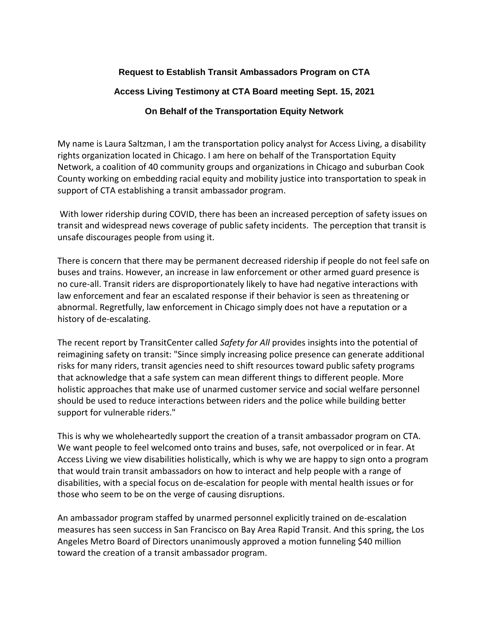## **Request to Establish Transit Ambassadors Program on CTA**

## **Access Living Testimony at CTA Board meeting Sept. 15, 2021**

## **On Behalf of the Transportation Equity Network**

My name is Laura Saltzman, I am the transportation policy analyst for Access Living, a disability rights organization located in Chicago. I am here on behalf of the Transportation Equity Network, a coalition of 40 community groups and organizations in Chicago and suburban Cook County working on embedding racial equity and mobility justice into transportation to speak in support of CTA establishing a transit ambassador program.

With lower ridership during COVID, there has been an increased perception of safety issues on transit and widespread news coverage of public safety incidents. The perception that transit is unsafe discourages people from using it.

There is concern that there may be permanent decreased ridership if people do not feel safe on buses and trains. However, an increase in law enforcement or other armed guard presence is no cure-all. Transit riders are disproportionately likely to have had negative interactions with law enforcement and fear an escalated response if their behavior is seen as threatening or abnormal. Regretfully, law enforcement in Chicago simply does not have a reputation or a history of de-escalating.

The recent report by TransitCenter called *Safety for All* provides insights into the potential of reimagining safety on transit: "Since simply increasing police presence can generate additional risks for many riders, transit agencies need to shift resources toward public safety programs that acknowledge that a safe system can mean different things to different people. More holistic approaches that make use of unarmed customer service and social welfare personnel should be used to reduce interactions between riders and the police while building better support for vulnerable riders."

This is why we wholeheartedly support the creation of a transit ambassador program on CTA. We want people to feel welcomed onto trains and buses, safe, not overpoliced or in fear. At Access Living we view disabilities holistically, which is why we are happy to sign onto a program that would train transit ambassadors on how to interact and help people with a range of disabilities, with a special focus on de-escalation for people with mental health issues or for those who seem to be on the verge of causing disruptions.

An ambassador program staffed by unarmed personnel explicitly trained on de-escalation measures has seen success in San Francisco on Bay Area Rapid Transit. And this spring, the Los Angeles Metro Board of Directors unanimously approved a motion funneling \$40 million toward the creation of a transit ambassador program.